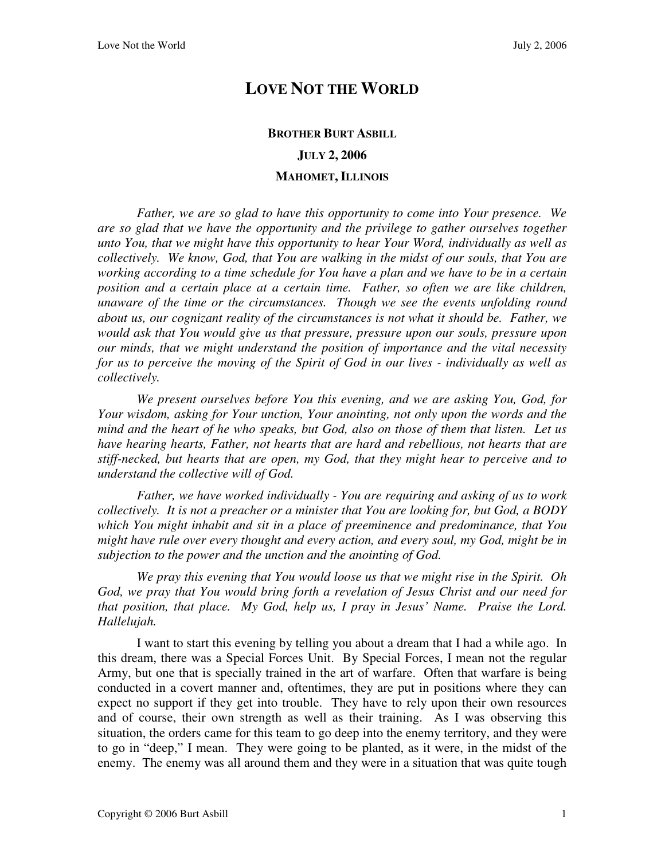## **LOVE NOT THE WORLD**

## **BROTHER BURT ASBILL JULY 2, 2006 MAHOMET, ILLINOIS**

*Father, we are so glad to have this opportunity to come into Your presence. We are so glad that we have the opportunity and the privilege to gather ourselves together unto You, that we might have this opportunity to hear Your Word, individually as well as collectively. We know, God, that You are walking in the midst of our souls, that You are working according to a time schedule for You have a plan and we have to be in a certain position and a certain place at a certain time. Father, so often we are like children, unaware of the time or the circumstances. Though we see the events unfolding round about us, our cognizant reality of the circumstances is not what it should be. Father, we would ask that You would give us that pressure, pressure upon our souls, pressure upon our minds, that we might understand the position of importance and the vital necessity for us to perceive the moving of the Spirit of God in our lives - individually as well as collectively.* 

*We present ourselves before You this evening, and we are asking You, God, for Your wisdom, asking for Your unction, Your anointing, not only upon the words and the mind and the heart of he who speaks, but God, also on those of them that listen. Let us have hearing hearts, Father, not hearts that are hard and rebellious, not hearts that are stiff-necked, but hearts that are open, my God, that they might hear to perceive and to understand the collective will of God.* 

*Father, we have worked individually - You are requiring and asking of us to work collectively. It is not a preacher or a minister that You are looking for, but God, a BODY which You might inhabit and sit in a place of preeminence and predominance, that You might have rule over every thought and every action, and every soul, my God, might be in subjection to the power and the unction and the anointing of God.* 

*We pray this evening that You would loose us that we might rise in the Spirit. Oh God, we pray that You would bring forth a revelation of Jesus Christ and our need for that position, that place. My God, help us, I pray in Jesus' Name. Praise the Lord. Hallelujah.* 

I want to start this evening by telling you about a dream that I had a while ago. In this dream, there was a Special Forces Unit. By Special Forces, I mean not the regular Army, but one that is specially trained in the art of warfare. Often that warfare is being conducted in a covert manner and, oftentimes, they are put in positions where they can expect no support if they get into trouble. They have to rely upon their own resources and of course, their own strength as well as their training. As I was observing this situation, the orders came for this team to go deep into the enemy territory, and they were to go in "deep," I mean. They were going to be planted, as it were, in the midst of the enemy. The enemy was all around them and they were in a situation that was quite tough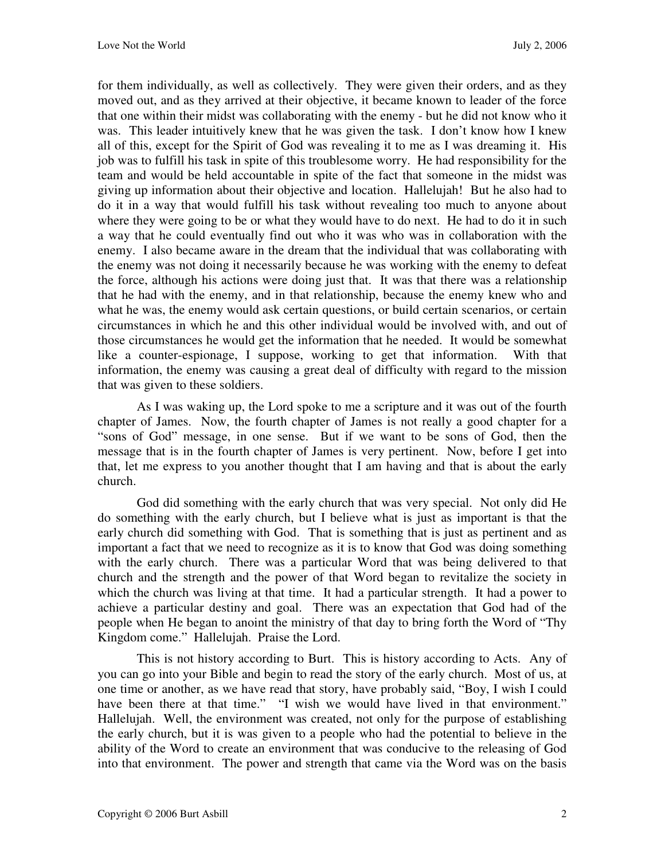for them individually, as well as collectively. They were given their orders, and as they moved out, and as they arrived at their objective, it became known to leader of the force that one within their midst was collaborating with the enemy - but he did not know who it was. This leader intuitively knew that he was given the task. I don't know how I knew all of this, except for the Spirit of God was revealing it to me as I was dreaming it. His job was to fulfill his task in spite of this troublesome worry. He had responsibility for the team and would be held accountable in spite of the fact that someone in the midst was giving up information about their objective and location. Hallelujah! But he also had to do it in a way that would fulfill his task without revealing too much to anyone about where they were going to be or what they would have to do next. He had to do it in such a way that he could eventually find out who it was who was in collaboration with the enemy. I also became aware in the dream that the individual that was collaborating with the enemy was not doing it necessarily because he was working with the enemy to defeat the force, although his actions were doing just that. It was that there was a relationship that he had with the enemy, and in that relationship, because the enemy knew who and what he was, the enemy would ask certain questions, or build certain scenarios, or certain circumstances in which he and this other individual would be involved with, and out of those circumstances he would get the information that he needed. It would be somewhat like a counter-espionage, I suppose, working to get that information. With that information, the enemy was causing a great deal of difficulty with regard to the mission that was given to these soldiers.

As I was waking up, the Lord spoke to me a scripture and it was out of the fourth chapter of James. Now, the fourth chapter of James is not really a good chapter for a "sons of God" message, in one sense. But if we want to be sons of God, then the message that is in the fourth chapter of James is very pertinent. Now, before I get into that, let me express to you another thought that I am having and that is about the early church.

God did something with the early church that was very special. Not only did He do something with the early church, but I believe what is just as important is that the early church did something with God. That is something that is just as pertinent and as important a fact that we need to recognize as it is to know that God was doing something with the early church. There was a particular Word that was being delivered to that church and the strength and the power of that Word began to revitalize the society in which the church was living at that time. It had a particular strength. It had a power to achieve a particular destiny and goal. There was an expectation that God had of the people when He began to anoint the ministry of that day to bring forth the Word of "Thy Kingdom come." Hallelujah. Praise the Lord.

This is not history according to Burt. This is history according to Acts. Any of you can go into your Bible and begin to read the story of the early church. Most of us, at one time or another, as we have read that story, have probably said, "Boy, I wish I could have been there at that time." "I wish we would have lived in that environment." Hallelujah. Well, the environment was created, not only for the purpose of establishing the early church, but it is was given to a people who had the potential to believe in the ability of the Word to create an environment that was conducive to the releasing of God into that environment. The power and strength that came via the Word was on the basis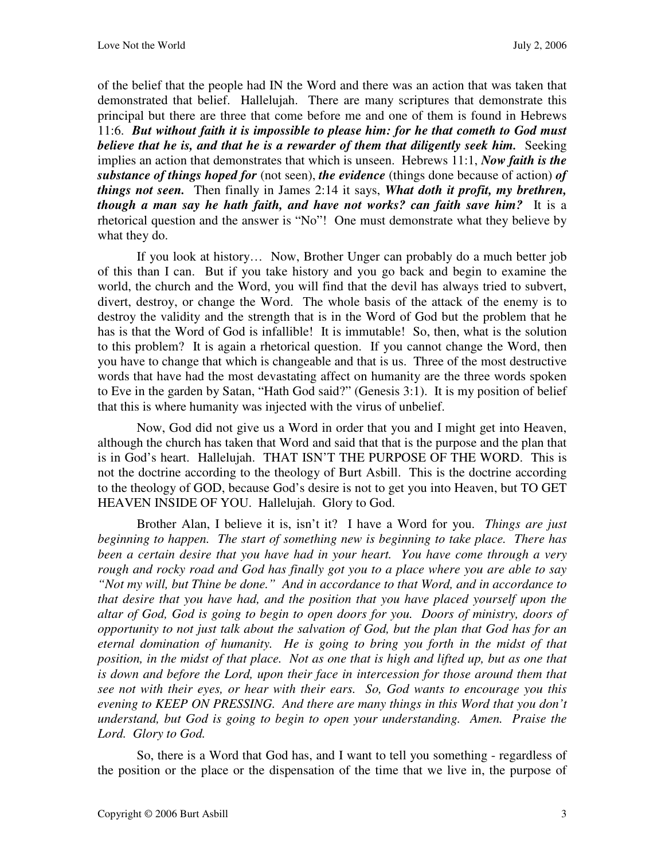of the belief that the people had IN the Word and there was an action that was taken that demonstrated that belief. Hallelujah. There are many scriptures that demonstrate this principal but there are three that come before me and one of them is found in Hebrews 11:6. *But without faith it is impossible to please him: for he that cometh to God must believe that he is, and that he is a rewarder of them that diligently seek him.* Seeking implies an action that demonstrates that which is unseen. Hebrews 11:1, *Now faith is the substance of things hoped for* (not seen), *the evidence* (things done because of action) *of things not seen.* Then finally in James 2:14 it says, *What doth it profit, my brethren, though a man say he hath faith, and have not works? can faith save him?* It is a rhetorical question and the answer is "No"! One must demonstrate what they believe by what they do.

If you look at history… Now, Brother Unger can probably do a much better job of this than I can. But if you take history and you go back and begin to examine the world, the church and the Word, you will find that the devil has always tried to subvert, divert, destroy, or change the Word. The whole basis of the attack of the enemy is to destroy the validity and the strength that is in the Word of God but the problem that he has is that the Word of God is infallible! It is immutable! So, then, what is the solution to this problem? It is again a rhetorical question. If you cannot change the Word, then you have to change that which is changeable and that is us. Three of the most destructive words that have had the most devastating affect on humanity are the three words spoken to Eve in the garden by Satan, "Hath God said?" (Genesis 3:1). It is my position of belief that this is where humanity was injected with the virus of unbelief.

Now, God did not give us a Word in order that you and I might get into Heaven, although the church has taken that Word and said that that is the purpose and the plan that is in God's heart. Hallelujah. THAT ISN'T THE PURPOSE OF THE WORD. This is not the doctrine according to the theology of Burt Asbill. This is the doctrine according to the theology of GOD, because God's desire is not to get you into Heaven, but TO GET HEAVEN INSIDE OF YOU. Hallelujah. Glory to God.

Brother Alan, I believe it is, isn't it? I have a Word for you. *Things are just beginning to happen. The start of something new is beginning to take place. There has been a certain desire that you have had in your heart. You have come through a very rough and rocky road and God has finally got you to a place where you are able to say "Not my will, but Thine be done." And in accordance to that Word, and in accordance to that desire that you have had, and the position that you have placed yourself upon the altar of God, God is going to begin to open doors for you. Doors of ministry, doors of opportunity to not just talk about the salvation of God, but the plan that God has for an eternal domination of humanity. He is going to bring you forth in the midst of that position, in the midst of that place. Not as one that is high and lifted up, but as one that is down and before the Lord, upon their face in intercession for those around them that see not with their eyes, or hear with their ears. So, God wants to encourage you this evening to KEEP ON PRESSING. And there are many things in this Word that you don't understand, but God is going to begin to open your understanding. Amen. Praise the Lord. Glory to God.*

So, there is a Word that God has, and I want to tell you something - regardless of the position or the place or the dispensation of the time that we live in, the purpose of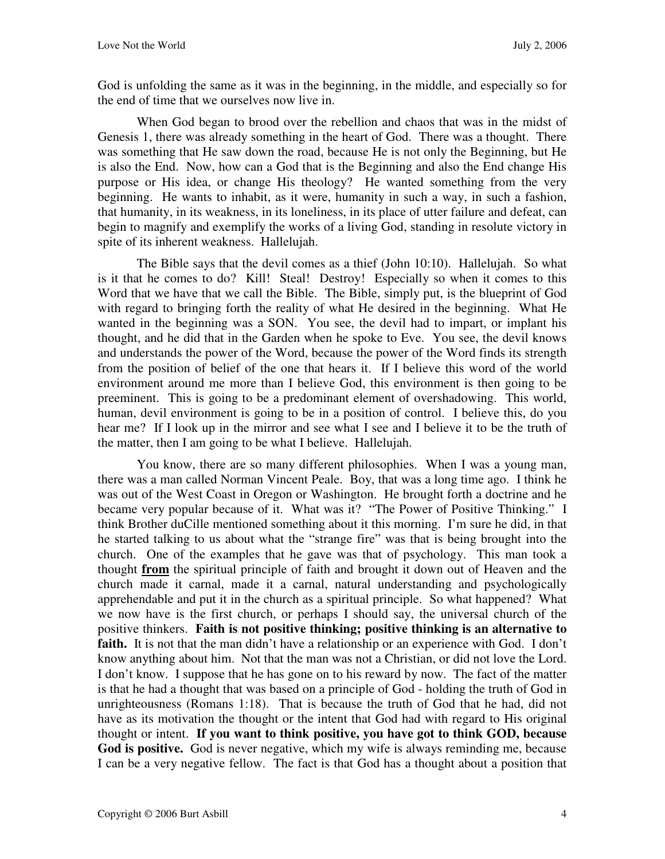God is unfolding the same as it was in the beginning, in the middle, and especially so for the end of time that we ourselves now live in.

When God began to brood over the rebellion and chaos that was in the midst of Genesis 1, there was already something in the heart of God. There was a thought. There was something that He saw down the road, because He is not only the Beginning, but He is also the End. Now, how can a God that is the Beginning and also the End change His purpose or His idea, or change His theology? He wanted something from the very beginning. He wants to inhabit, as it were, humanity in such a way, in such a fashion, that humanity, in its weakness, in its loneliness, in its place of utter failure and defeat, can begin to magnify and exemplify the works of a living God, standing in resolute victory in spite of its inherent weakness. Hallelujah.

The Bible says that the devil comes as a thief (John 10:10). Hallelujah. So what is it that he comes to do? Kill! Steal! Destroy! Especially so when it comes to this Word that we have that we call the Bible. The Bible, simply put, is the blueprint of God with regard to bringing forth the reality of what He desired in the beginning. What He wanted in the beginning was a SON. You see, the devil had to impart, or implant his thought, and he did that in the Garden when he spoke to Eve. You see, the devil knows and understands the power of the Word, because the power of the Word finds its strength from the position of belief of the one that hears it. If I believe this word of the world environment around me more than I believe God, this environment is then going to be preeminent. This is going to be a predominant element of overshadowing. This world, human, devil environment is going to be in a position of control. I believe this, do you hear me? If I look up in the mirror and see what I see and I believe it to be the truth of the matter, then I am going to be what I believe. Hallelujah.

You know, there are so many different philosophies. When I was a young man, there was a man called Norman Vincent Peale. Boy, that was a long time ago. I think he was out of the West Coast in Oregon or Washington. He brought forth a doctrine and he became very popular because of it. What was it? "The Power of Positive Thinking." I think Brother duCille mentioned something about it this morning. I'm sure he did, in that he started talking to us about what the "strange fire" was that is being brought into the church. One of the examples that he gave was that of psychology. This man took a thought **from** the spiritual principle of faith and brought it down out of Heaven and the church made it carnal, made it a carnal, natural understanding and psychologically apprehendable and put it in the church as a spiritual principle. So what happened? What we now have is the first church, or perhaps I should say, the universal church of the positive thinkers. **Faith is not positive thinking; positive thinking is an alternative to**  faith. It is not that the man didn't have a relationship or an experience with God. I don't know anything about him. Not that the man was not a Christian, or did not love the Lord. I don't know. I suppose that he has gone on to his reward by now. The fact of the matter is that he had a thought that was based on a principle of God - holding the truth of God in unrighteousness (Romans 1:18). That is because the truth of God that he had, did not have as its motivation the thought or the intent that God had with regard to His original thought or intent. **If you want to think positive, you have got to think GOD, because**  God is positive. God is never negative, which my wife is always reminding me, because I can be a very negative fellow. The fact is that God has a thought about a position that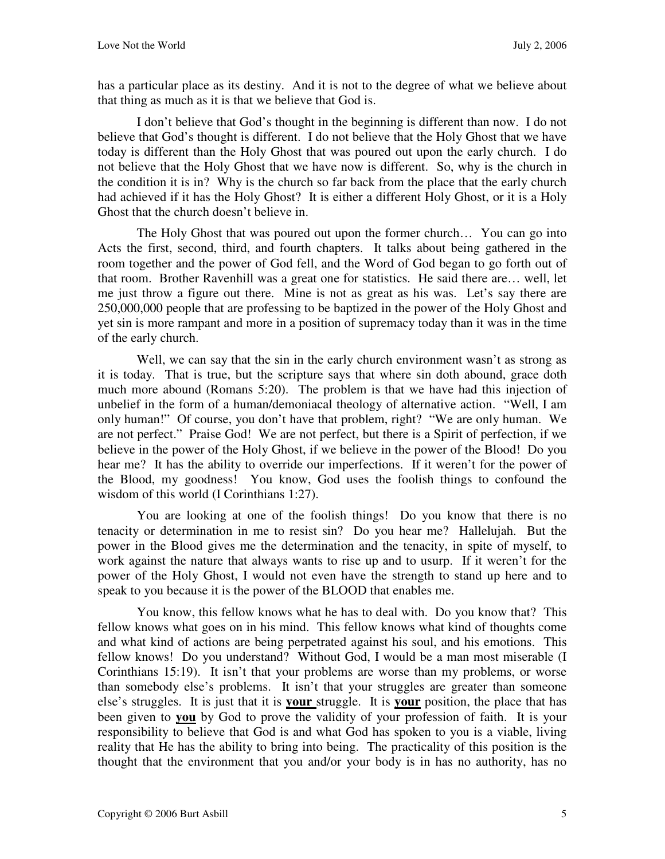has a particular place as its destiny. And it is not to the degree of what we believe about that thing as much as it is that we believe that God is.

I don't believe that God's thought in the beginning is different than now. I do not believe that God's thought is different. I do not believe that the Holy Ghost that we have today is different than the Holy Ghost that was poured out upon the early church. I do not believe that the Holy Ghost that we have now is different. So, why is the church in the condition it is in? Why is the church so far back from the place that the early church had achieved if it has the Holy Ghost? It is either a different Holy Ghost, or it is a Holy Ghost that the church doesn't believe in.

The Holy Ghost that was poured out upon the former church… You can go into Acts the first, second, third, and fourth chapters. It talks about being gathered in the room together and the power of God fell, and the Word of God began to go forth out of that room. Brother Ravenhill was a great one for statistics. He said there are… well, let me just throw a figure out there. Mine is not as great as his was. Let's say there are 250,000,000 people that are professing to be baptized in the power of the Holy Ghost and yet sin is more rampant and more in a position of supremacy today than it was in the time of the early church.

Well, we can say that the sin in the early church environment wasn't as strong as it is today. That is true, but the scripture says that where sin doth abound, grace doth much more abound (Romans 5:20). The problem is that we have had this injection of unbelief in the form of a human/demoniacal theology of alternative action. "Well, I am only human!" Of course, you don't have that problem, right? "We are only human. We are not perfect." Praise God! We are not perfect, but there is a Spirit of perfection, if we believe in the power of the Holy Ghost, if we believe in the power of the Blood! Do you hear me? It has the ability to override our imperfections. If it weren't for the power of the Blood, my goodness! You know, God uses the foolish things to confound the wisdom of this world (I Corinthians 1:27).

You are looking at one of the foolish things! Do you know that there is no tenacity or determination in me to resist sin? Do you hear me? Hallelujah. But the power in the Blood gives me the determination and the tenacity, in spite of myself, to work against the nature that always wants to rise up and to usurp. If it weren't for the power of the Holy Ghost, I would not even have the strength to stand up here and to speak to you because it is the power of the BLOOD that enables me.

You know, this fellow knows what he has to deal with. Do you know that? This fellow knows what goes on in his mind. This fellow knows what kind of thoughts come and what kind of actions are being perpetrated against his soul, and his emotions. This fellow knows! Do you understand? Without God, I would be a man most miserable (I Corinthians 15:19). It isn't that your problems are worse than my problems, or worse than somebody else's problems. It isn't that your struggles are greater than someone else's struggles. It is just that it is **your** struggle. It is **your** position, the place that has been given to **you** by God to prove the validity of your profession of faith. It is your responsibility to believe that God is and what God has spoken to you is a viable, living reality that He has the ability to bring into being. The practicality of this position is the thought that the environment that you and/or your body is in has no authority, has no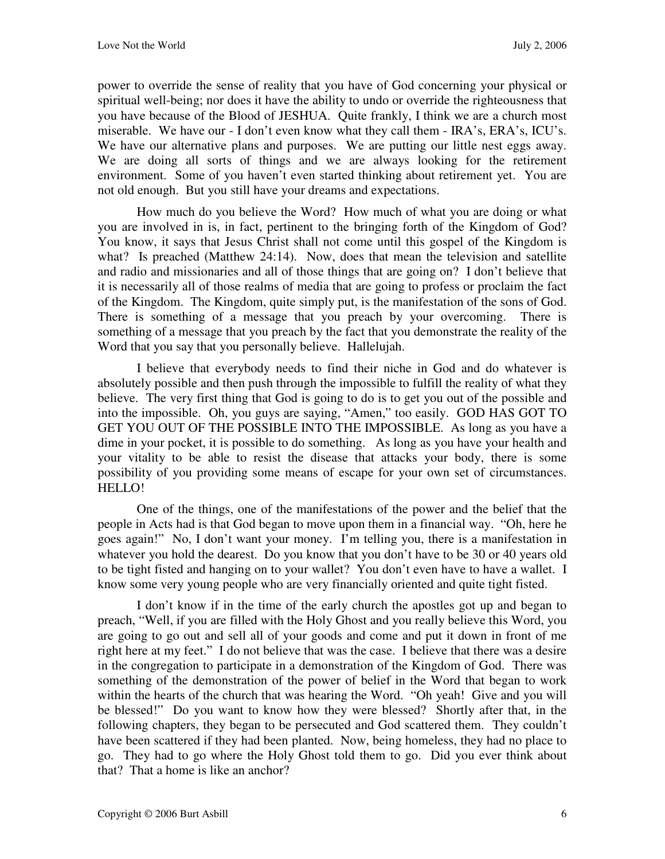power to override the sense of reality that you have of God concerning your physical or spiritual well-being; nor does it have the ability to undo or override the righteousness that you have because of the Blood of JESHUA. Quite frankly, I think we are a church most miserable. We have our - I don't even know what they call them - IRA's, ERA's, ICU's. We have our alternative plans and purposes. We are putting our little nest eggs away. We are doing all sorts of things and we are always looking for the retirement environment. Some of you haven't even started thinking about retirement yet. You are not old enough. But you still have your dreams and expectations.

How much do you believe the Word? How much of what you are doing or what you are involved in is, in fact, pertinent to the bringing forth of the Kingdom of God? You know, it says that Jesus Christ shall not come until this gospel of the Kingdom is what? Is preached (Matthew 24:14). Now, does that mean the television and satellite and radio and missionaries and all of those things that are going on? I don't believe that it is necessarily all of those realms of media that are going to profess or proclaim the fact of the Kingdom. The Kingdom, quite simply put, is the manifestation of the sons of God. There is something of a message that you preach by your overcoming. There is something of a message that you preach by the fact that you demonstrate the reality of the Word that you say that you personally believe. Hallelujah.

I believe that everybody needs to find their niche in God and do whatever is absolutely possible and then push through the impossible to fulfill the reality of what they believe. The very first thing that God is going to do is to get you out of the possible and into the impossible. Oh, you guys are saying, "Amen," too easily. GOD HAS GOT TO GET YOU OUT OF THE POSSIBLE INTO THE IMPOSSIBLE. As long as you have a dime in your pocket, it is possible to do something. As long as you have your health and your vitality to be able to resist the disease that attacks your body, there is some possibility of you providing some means of escape for your own set of circumstances. HELLO!

One of the things, one of the manifestations of the power and the belief that the people in Acts had is that God began to move upon them in a financial way. "Oh, here he goes again!" No, I don't want your money. I'm telling you, there is a manifestation in whatever you hold the dearest. Do you know that you don't have to be 30 or 40 years old to be tight fisted and hanging on to your wallet? You don't even have to have a wallet. I know some very young people who are very financially oriented and quite tight fisted.

I don't know if in the time of the early church the apostles got up and began to preach, "Well, if you are filled with the Holy Ghost and you really believe this Word, you are going to go out and sell all of your goods and come and put it down in front of me right here at my feet." I do not believe that was the case. I believe that there was a desire in the congregation to participate in a demonstration of the Kingdom of God. There was something of the demonstration of the power of belief in the Word that began to work within the hearts of the church that was hearing the Word. "Oh yeah! Give and you will be blessed!" Do you want to know how they were blessed? Shortly after that, in the following chapters, they began to be persecuted and God scattered them. They couldn't have been scattered if they had been planted. Now, being homeless, they had no place to go. They had to go where the Holy Ghost told them to go. Did you ever think about that? That a home is like an anchor?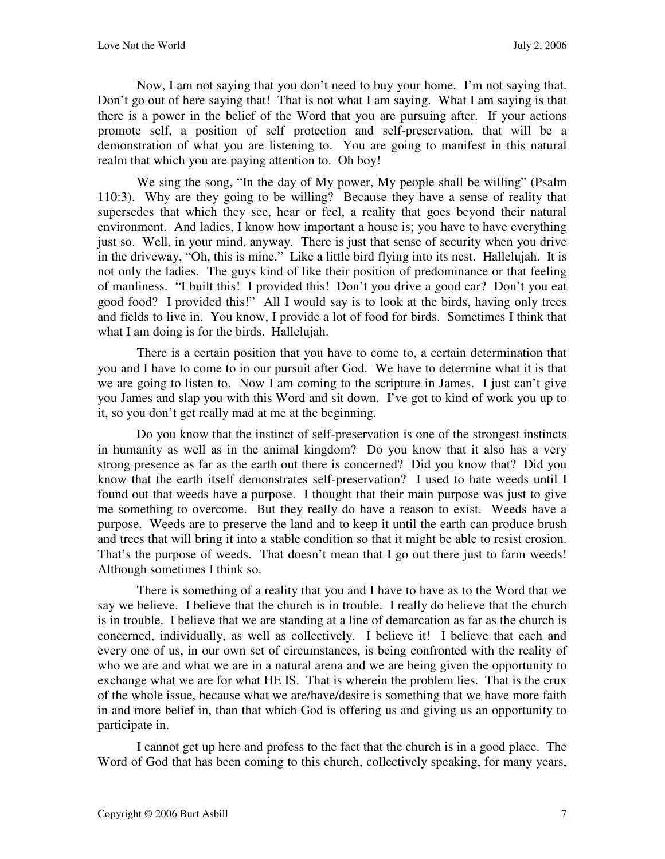Now, I am not saying that you don't need to buy your home. I'm not saying that. Don't go out of here saying that! That is not what I am saying. What I am saying is that there is a power in the belief of the Word that you are pursuing after. If your actions promote self, a position of self protection and self-preservation, that will be a demonstration of what you are listening to. You are going to manifest in this natural realm that which you are paying attention to. Oh boy!

We sing the song, "In the day of My power, My people shall be willing" (Psalm 110:3). Why are they going to be willing? Because they have a sense of reality that supersedes that which they see, hear or feel, a reality that goes beyond their natural environment. And ladies, I know how important a house is; you have to have everything just so. Well, in your mind, anyway. There is just that sense of security when you drive in the driveway, "Oh, this is mine." Like a little bird flying into its nest. Hallelujah. It is not only the ladies. The guys kind of like their position of predominance or that feeling of manliness. "I built this! I provided this! Don't you drive a good car? Don't you eat good food? I provided this!" All I would say is to look at the birds, having only trees and fields to live in. You know, I provide a lot of food for birds. Sometimes I think that what I am doing is for the birds. Hallelujah.

There is a certain position that you have to come to, a certain determination that you and I have to come to in our pursuit after God. We have to determine what it is that we are going to listen to. Now I am coming to the scripture in James. I just can't give you James and slap you with this Word and sit down. I've got to kind of work you up to it, so you don't get really mad at me at the beginning.

Do you know that the instinct of self-preservation is one of the strongest instincts in humanity as well as in the animal kingdom? Do you know that it also has a very strong presence as far as the earth out there is concerned? Did you know that? Did you know that the earth itself demonstrates self-preservation? I used to hate weeds until I found out that weeds have a purpose. I thought that their main purpose was just to give me something to overcome. But they really do have a reason to exist. Weeds have a purpose. Weeds are to preserve the land and to keep it until the earth can produce brush and trees that will bring it into a stable condition so that it might be able to resist erosion. That's the purpose of weeds. That doesn't mean that I go out there just to farm weeds! Although sometimes I think so.

There is something of a reality that you and I have to have as to the Word that we say we believe. I believe that the church is in trouble. I really do believe that the church is in trouble. I believe that we are standing at a line of demarcation as far as the church is concerned, individually, as well as collectively. I believe it! I believe that each and every one of us, in our own set of circumstances, is being confronted with the reality of who we are and what we are in a natural arena and we are being given the opportunity to exchange what we are for what HE IS. That is wherein the problem lies. That is the crux of the whole issue, because what we are/have/desire is something that we have more faith in and more belief in, than that which God is offering us and giving us an opportunity to participate in.

I cannot get up here and profess to the fact that the church is in a good place. The Word of God that has been coming to this church, collectively speaking, for many years,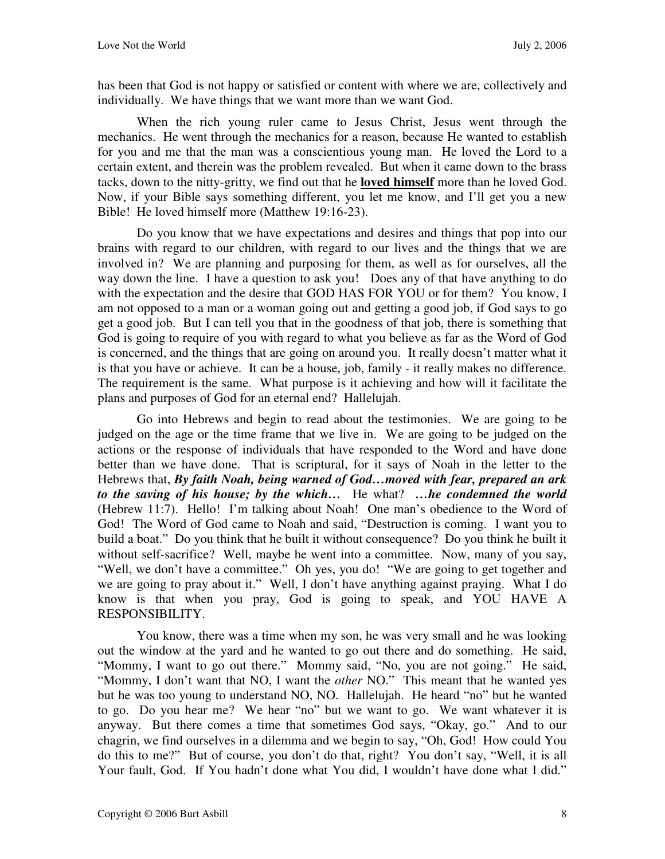has been that God is not happy or satisfied or content with where we are, collectively and individually. We have things that we want more than we want God.

When the rich young ruler came to Jesus Christ, Jesus went through the mechanics. He went through the mechanics for a reason, because He wanted to establish for you and me that the man was a conscientious young man. He loved the Lord to a certain extent, and therein was the problem revealed. But when it came down to the brass tacks, down to the nitty-gritty, we find out that he **loved himself** more than he loved God. Now, if your Bible says something different, you let me know, and I'll get you a new Bible! He loved himself more (Matthew 19:16-23).

Do you know that we have expectations and desires and things that pop into our brains with regard to our children, with regard to our lives and the things that we are involved in? We are planning and purposing for them, as well as for ourselves, all the way down the line. I have a question to ask you! Does any of that have anything to do with the expectation and the desire that GOD HAS FOR YOU or for them? You know, I am not opposed to a man or a woman going out and getting a good job, if God says to go get a good job. But I can tell you that in the goodness of that job, there is something that God is going to require of you with regard to what you believe as far as the Word of God is concerned, and the things that are going on around you. It really doesn't matter what it is that you have or achieve. It can be a house, job, family - it really makes no difference. The requirement is the same. What purpose is it achieving and how will it facilitate the plans and purposes of God for an eternal end? Hallelujah.

Go into Hebrews and begin to read about the testimonies. We are going to be judged on the age or the time frame that we live in. We are going to be judged on the actions or the response of individuals that have responded to the Word and have done better than we have done. That is scriptural, for it says of Noah in the letter to the Hebrews that, *By faith Noah, being warned of God…moved with fear, prepared an ark to the saving of his house; by the which…* He what? *…he condemned the world* (Hebrew 11:7). Hello! I'm talking about Noah! One man's obedience to the Word of God! The Word of God came to Noah and said, "Destruction is coming. I want you to build a boat." Do you think that he built it without consequence? Do you think he built it without self-sacrifice? Well, maybe he went into a committee. Now, many of you say, "Well, we don't have a committee." Oh yes, you do! "We are going to get together and we are going to pray about it." Well, I don't have anything against praying. What I do know is that when you pray, God is going to speak, and YOU HAVE A RESPONSIBILITY.

You know, there was a time when my son, he was very small and he was looking out the window at the yard and he wanted to go out there and do something. He said, "Mommy, I want to go out there." Mommy said, "No, you are not going." He said, "Mommy, I don't want that NO, I want the *other* NO." This meant that he wanted yes but he was too young to understand NO, NO. Hallelujah. He heard "no" but he wanted to go. Do you hear me? We hear "no" but we want to go. We want whatever it is anyway. But there comes a time that sometimes God says, "Okay, go." And to our chagrin, we find ourselves in a dilemma and we begin to say, "Oh, God! How could You do this to me?" But of course, you don't do that, right? You don't say, "Well, it is all Your fault, God. If You hadn't done what You did, I wouldn't have done what I did."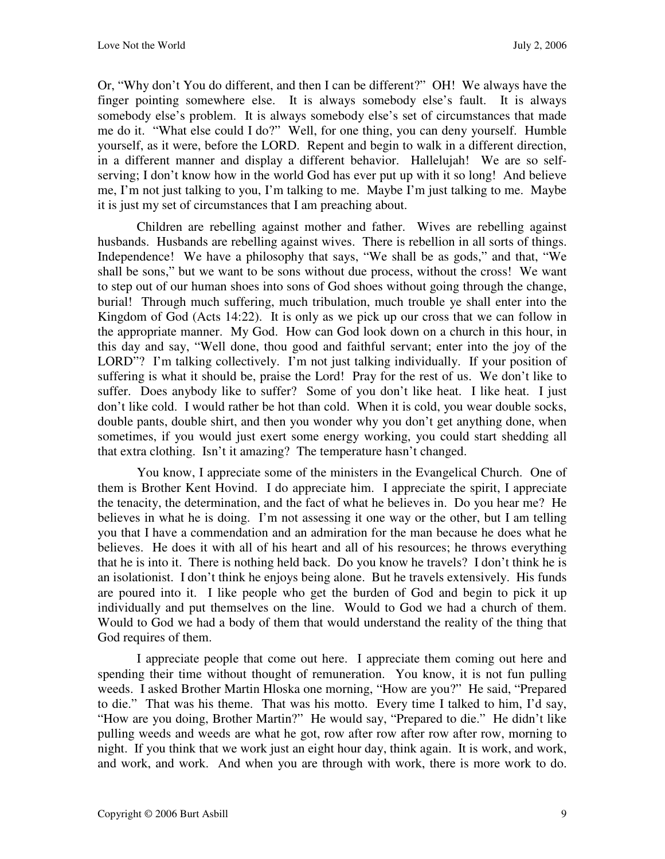Or, "Why don't You do different, and then I can be different?" OH! We always have the finger pointing somewhere else. It is always somebody else's fault. It is always somebody else's problem. It is always somebody else's set of circumstances that made me do it. "What else could I do?" Well, for one thing, you can deny yourself. Humble yourself, as it were, before the LORD. Repent and begin to walk in a different direction, in a different manner and display a different behavior. Hallelujah! We are so selfserving; I don't know how in the world God has ever put up with it so long! And believe me, I'm not just talking to you, I'm talking to me. Maybe I'm just talking to me. Maybe it is just my set of circumstances that I am preaching about.

Children are rebelling against mother and father. Wives are rebelling against husbands. Husbands are rebelling against wives. There is rebellion in all sorts of things. Independence! We have a philosophy that says, "We shall be as gods," and that, "We shall be sons," but we want to be sons without due process, without the cross! We want to step out of our human shoes into sons of God shoes without going through the change, burial! Through much suffering, much tribulation, much trouble ye shall enter into the Kingdom of God (Acts 14:22). It is only as we pick up our cross that we can follow in the appropriate manner. My God. How can God look down on a church in this hour, in this day and say, "Well done, thou good and faithful servant; enter into the joy of the LORD"? I'm talking collectively. I'm not just talking individually. If your position of suffering is what it should be, praise the Lord! Pray for the rest of us. We don't like to suffer. Does anybody like to suffer? Some of you don't like heat. I like heat. I just don't like cold. I would rather be hot than cold. When it is cold, you wear double socks, double pants, double shirt, and then you wonder why you don't get anything done, when sometimes, if you would just exert some energy working, you could start shedding all that extra clothing. Isn't it amazing? The temperature hasn't changed.

You know, I appreciate some of the ministers in the Evangelical Church. One of them is Brother Kent Hovind. I do appreciate him. I appreciate the spirit, I appreciate the tenacity, the determination, and the fact of what he believes in. Do you hear me? He believes in what he is doing. I'm not assessing it one way or the other, but I am telling you that I have a commendation and an admiration for the man because he does what he believes. He does it with all of his heart and all of his resources; he throws everything that he is into it. There is nothing held back. Do you know he travels? I don't think he is an isolationist. I don't think he enjoys being alone. But he travels extensively. His funds are poured into it. I like people who get the burden of God and begin to pick it up individually and put themselves on the line. Would to God we had a church of them. Would to God we had a body of them that would understand the reality of the thing that God requires of them.

I appreciate people that come out here. I appreciate them coming out here and spending their time without thought of remuneration. You know, it is not fun pulling weeds. I asked Brother Martin Hloska one morning, "How are you?" He said, "Prepared to die." That was his theme. That was his motto. Every time I talked to him, I'd say, "How are you doing, Brother Martin?" He would say, "Prepared to die." He didn't like pulling weeds and weeds are what he got, row after row after row after row, morning to night. If you think that we work just an eight hour day, think again. It is work, and work, and work, and work. And when you are through with work, there is more work to do.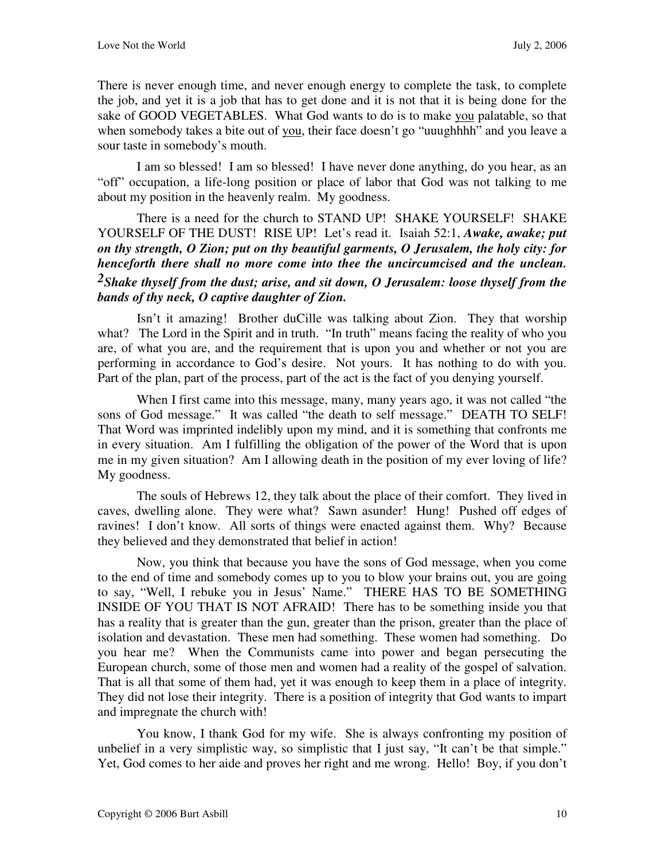There is never enough time, and never enough energy to complete the task, to complete the job, and yet it is a job that has to get done and it is not that it is being done for the sake of GOOD VEGETABLES. What God wants to do is to make you palatable, so that when somebody takes a bite out of you, their face doesn't go "uuughhhh" and you leave a sour taste in somebody's mouth.

I am so blessed! I am so blessed! I have never done anything, do you hear, as an "off" occupation, a life-long position or place of labor that God was not talking to me about my position in the heavenly realm. My goodness.

There is a need for the church to STAND UP! SHAKE YOURSELF! SHAKE YOURSELF OF THE DUST! RISE UP! Let's read it. Isaiah 52:1, *Awake, awake; put on thy strength, O Zion; put on thy beautiful garments, O Jerusalem, the holy city: for henceforth there shall no more come into thee the uncircumcised and the unclean. 2Shake thyself from the dust; arise, and sit down, O Jerusalem: loose thyself from the bands of thy neck, O captive daughter of Zion.* 

Isn't it amazing! Brother duCille was talking about Zion. They that worship what? The Lord in the Spirit and in truth. "In truth" means facing the reality of who you are, of what you are, and the requirement that is upon you and whether or not you are performing in accordance to God's desire. Not yours. It has nothing to do with you. Part of the plan, part of the process, part of the act is the fact of you denying yourself.

When I first came into this message, many, many years ago, it was not called "the sons of God message." It was called "the death to self message." DEATH TO SELF! That Word was imprinted indelibly upon my mind, and it is something that confronts me in every situation. Am I fulfilling the obligation of the power of the Word that is upon me in my given situation? Am I allowing death in the position of my ever loving of life? My goodness.

The souls of Hebrews 12, they talk about the place of their comfort. They lived in caves, dwelling alone. They were what? Sawn asunder! Hung! Pushed off edges of ravines! I don't know. All sorts of things were enacted against them. Why? Because they believed and they demonstrated that belief in action!

Now, you think that because you have the sons of God message, when you come to the end of time and somebody comes up to you to blow your brains out, you are going to say, "Well, I rebuke you in Jesus' Name." THERE HAS TO BE SOMETHING INSIDE OF YOU THAT IS NOT AFRAID! There has to be something inside you that has a reality that is greater than the gun, greater than the prison, greater than the place of isolation and devastation. These men had something. These women had something. Do you hear me? When the Communists came into power and began persecuting the European church, some of those men and women had a reality of the gospel of salvation. That is all that some of them had, yet it was enough to keep them in a place of integrity. They did not lose their integrity. There is a position of integrity that God wants to impart and impregnate the church with!

You know, I thank God for my wife. She is always confronting my position of unbelief in a very simplistic way, so simplistic that I just say, "It can't be that simple." Yet, God comes to her aide and proves her right and me wrong. Hello! Boy, if you don't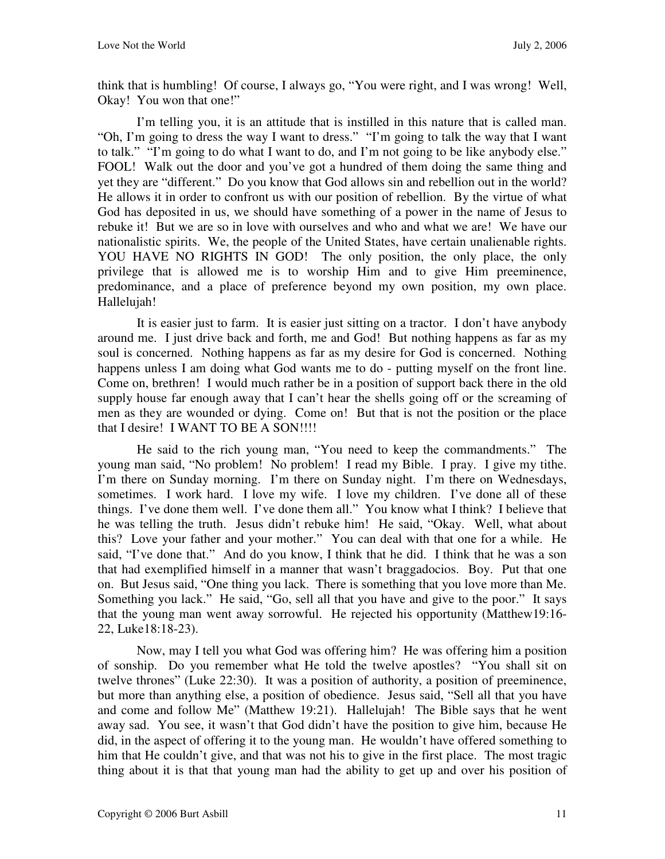think that is humbling! Of course, I always go, "You were right, and I was wrong! Well, Okay! You won that one!"

I'm telling you, it is an attitude that is instilled in this nature that is called man. "Oh, I'm going to dress the way I want to dress." "I'm going to talk the way that I want to talk." "I'm going to do what I want to do, and I'm not going to be like anybody else." FOOL! Walk out the door and you've got a hundred of them doing the same thing and yet they are "different." Do you know that God allows sin and rebellion out in the world? He allows it in order to confront us with our position of rebellion. By the virtue of what God has deposited in us, we should have something of a power in the name of Jesus to rebuke it! But we are so in love with ourselves and who and what we are! We have our nationalistic spirits. We, the people of the United States, have certain unalienable rights. YOU HAVE NO RIGHTS IN GOD! The only position, the only place, the only privilege that is allowed me is to worship Him and to give Him preeminence, predominance, and a place of preference beyond my own position, my own place. Hallelujah!

It is easier just to farm. It is easier just sitting on a tractor. I don't have anybody around me. I just drive back and forth, me and God! But nothing happens as far as my soul is concerned. Nothing happens as far as my desire for God is concerned. Nothing happens unless I am doing what God wants me to do - putting myself on the front line. Come on, brethren! I would much rather be in a position of support back there in the old supply house far enough away that I can't hear the shells going off or the screaming of men as they are wounded or dying. Come on! But that is not the position or the place that I desire! I WANT TO BE A SON!!!!

He said to the rich young man, "You need to keep the commandments." The young man said, "No problem! No problem! I read my Bible. I pray. I give my tithe. I'm there on Sunday morning. I'm there on Sunday night. I'm there on Wednesdays, sometimes. I work hard. I love my wife. I love my children. I've done all of these things. I've done them well. I've done them all." You know what I think? I believe that he was telling the truth. Jesus didn't rebuke him! He said, "Okay. Well, what about this? Love your father and your mother." You can deal with that one for a while. He said, "I've done that." And do you know, I think that he did. I think that he was a son that had exemplified himself in a manner that wasn't braggadocios. Boy. Put that one on. But Jesus said, "One thing you lack. There is something that you love more than Me. Something you lack." He said, "Go, sell all that you have and give to the poor." It says that the young man went away sorrowful. He rejected his opportunity (Matthew19:16- 22, Luke18:18-23).

Now, may I tell you what God was offering him? He was offering him a position of sonship. Do you remember what He told the twelve apostles? "You shall sit on twelve thrones" (Luke 22:30). It was a position of authority, a position of preeminence, but more than anything else, a position of obedience. Jesus said, "Sell all that you have and come and follow Me" (Matthew 19:21). Hallelujah! The Bible says that he went away sad. You see, it wasn't that God didn't have the position to give him, because He did, in the aspect of offering it to the young man. He wouldn't have offered something to him that He couldn't give, and that was not his to give in the first place. The most tragic thing about it is that that young man had the ability to get up and over his position of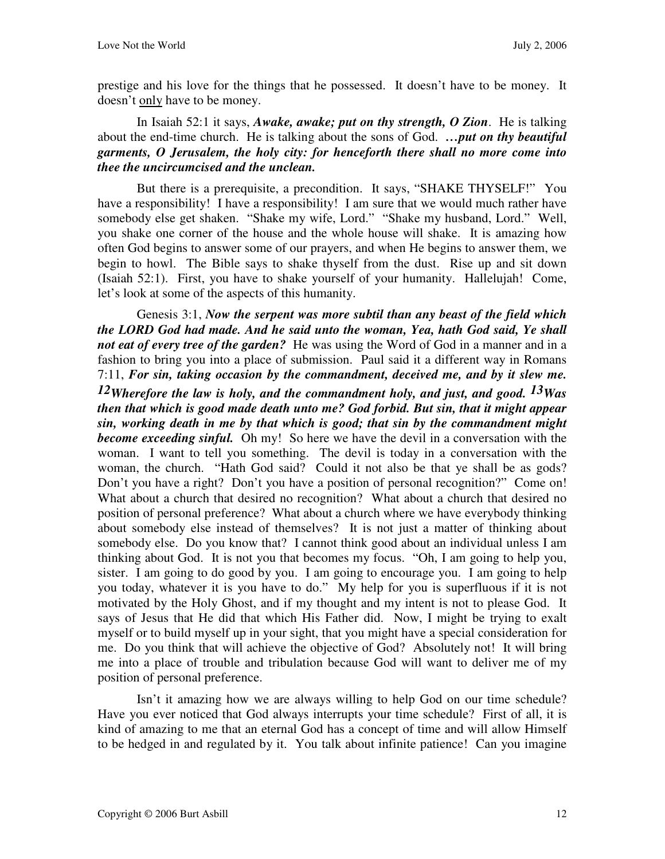prestige and his love for the things that he possessed. It doesn't have to be money. It doesn't only have to be money.

In Isaiah 52:1 it says, *Awake, awake; put on thy strength, O Zion*. He is talking about the end-time church. He is talking about the sons of God. *…put on thy beautiful garments, O Jerusalem, the holy city: for henceforth there shall no more come into thee the uncircumcised and the unclean.*

But there is a prerequisite, a precondition. It says, "SHAKE THYSELF!" You have a responsibility! I have a responsibility! I am sure that we would much rather have somebody else get shaken. "Shake my wife, Lord." "Shake my husband, Lord." Well, you shake one corner of the house and the whole house will shake. It is amazing how often God begins to answer some of our prayers, and when He begins to answer them, we begin to howl. The Bible says to shake thyself from the dust. Rise up and sit down (Isaiah 52:1). First, you have to shake yourself of your humanity. Hallelujah! Come, let's look at some of the aspects of this humanity.

Genesis 3:1, *Now the serpent was more subtil than any beast of the field which the LORD God had made. And he said unto the woman, Yea, hath God said, Ye shall not eat of every tree of the garden?* He was using the Word of God in a manner and in a fashion to bring you into a place of submission. Paul said it a different way in Romans 7:11, *For sin, taking occasion by the commandment, deceived me, and by it slew me. 12Wherefore the law is holy, and the commandment holy, and just, and good. 13Was then that which is good made death unto me? God forbid. But sin, that it might appear sin, working death in me by that which is good; that sin by the commandment might become exceeding sinful.* Oh my! So here we have the devil in a conversation with the woman. I want to tell you something. The devil is today in a conversation with the woman, the church. "Hath God said? Could it not also be that ye shall be as gods? Don't you have a right? Don't you have a position of personal recognition?" Come on! What about a church that desired no recognition? What about a church that desired no position of personal preference? What about a church where we have everybody thinking about somebody else instead of themselves? It is not just a matter of thinking about somebody else. Do you know that? I cannot think good about an individual unless I am thinking about God. It is not you that becomes my focus. "Oh, I am going to help you, sister. I am going to do good by you. I am going to encourage you. I am going to help you today, whatever it is you have to do." My help for you is superfluous if it is not motivated by the Holy Ghost, and if my thought and my intent is not to please God. It says of Jesus that He did that which His Father did. Now, I might be trying to exalt myself or to build myself up in your sight, that you might have a special consideration for me. Do you think that will achieve the objective of God? Absolutely not! It will bring me into a place of trouble and tribulation because God will want to deliver me of my position of personal preference.

Isn't it amazing how we are always willing to help God on our time schedule? Have you ever noticed that God always interrupts your time schedule? First of all, it is kind of amazing to me that an eternal God has a concept of time and will allow Himself to be hedged in and regulated by it. You talk about infinite patience! Can you imagine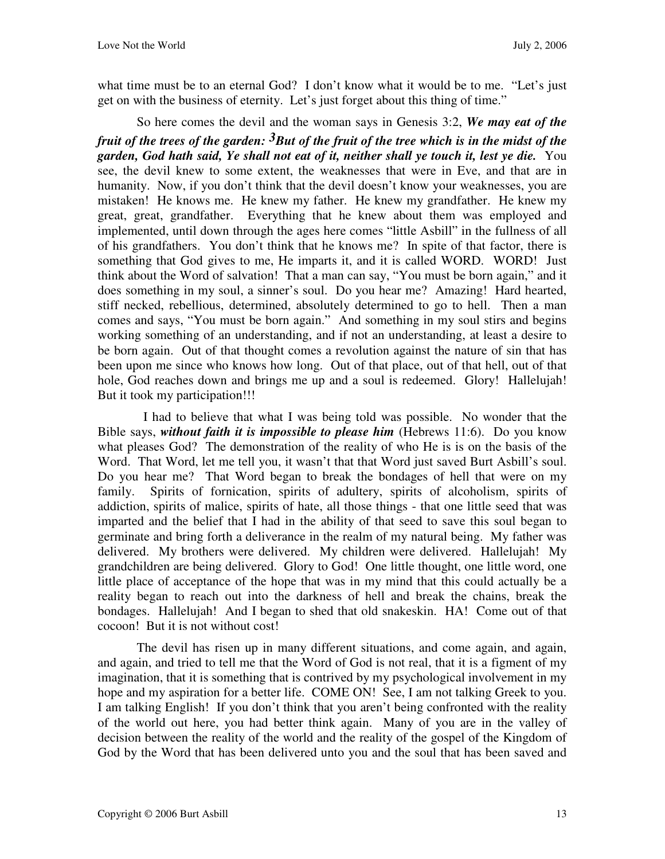what time must be to an eternal God? I don't know what it would be to me. "Let's just get on with the business of eternity. Let's just forget about this thing of time."

So here comes the devil and the woman says in Genesis 3:2, *We may eat of the fruit of the trees of the garden: 3But of the fruit of the tree which is in the midst of the garden, God hath said, Ye shall not eat of it, neither shall ye touch it, lest ye die.* You see, the devil knew to some extent, the weaknesses that were in Eve, and that are in humanity. Now, if you don't think that the devil doesn't know your weaknesses, you are mistaken! He knows me. He knew my father. He knew my grandfather. He knew my great, great, grandfather. Everything that he knew about them was employed and implemented, until down through the ages here comes "little Asbill" in the fullness of all of his grandfathers. You don't think that he knows me? In spite of that factor, there is something that God gives to me, He imparts it, and it is called WORD. WORD! Just think about the Word of salvation! That a man can say, "You must be born again," and it does something in my soul, a sinner's soul. Do you hear me? Amazing! Hard hearted, stiff necked, rebellious, determined, absolutely determined to go to hell. Then a man comes and says, "You must be born again." And something in my soul stirs and begins working something of an understanding, and if not an understanding, at least a desire to be born again. Out of that thought comes a revolution against the nature of sin that has been upon me since who knows how long. Out of that place, out of that hell, out of that hole, God reaches down and brings me up and a soul is redeemed. Glory! Hallelujah! But it took my participation!!!

 I had to believe that what I was being told was possible. No wonder that the Bible says, *without faith it is impossible to please him* (Hebrews 11:6). Do you know what pleases God? The demonstration of the reality of who He is is on the basis of the Word. That Word, let me tell you, it wasn't that that Word just saved Burt Asbill's soul. Do you hear me? That Word began to break the bondages of hell that were on my family. Spirits of fornication, spirits of adultery, spirits of alcoholism, spirits of addiction, spirits of malice, spirits of hate, all those things - that one little seed that was imparted and the belief that I had in the ability of that seed to save this soul began to germinate and bring forth a deliverance in the realm of my natural being. My father was delivered. My brothers were delivered. My children were delivered. Hallelujah! My grandchildren are being delivered. Glory to God! One little thought, one little word, one little place of acceptance of the hope that was in my mind that this could actually be a reality began to reach out into the darkness of hell and break the chains, break the bondages. Hallelujah! And I began to shed that old snakeskin. HA! Come out of that cocoon! But it is not without cost!

The devil has risen up in many different situations, and come again, and again, and again, and tried to tell me that the Word of God is not real, that it is a figment of my imagination, that it is something that is contrived by my psychological involvement in my hope and my aspiration for a better life. COME ON! See, I am not talking Greek to you. I am talking English! If you don't think that you aren't being confronted with the reality of the world out here, you had better think again. Many of you are in the valley of decision between the reality of the world and the reality of the gospel of the Kingdom of God by the Word that has been delivered unto you and the soul that has been saved and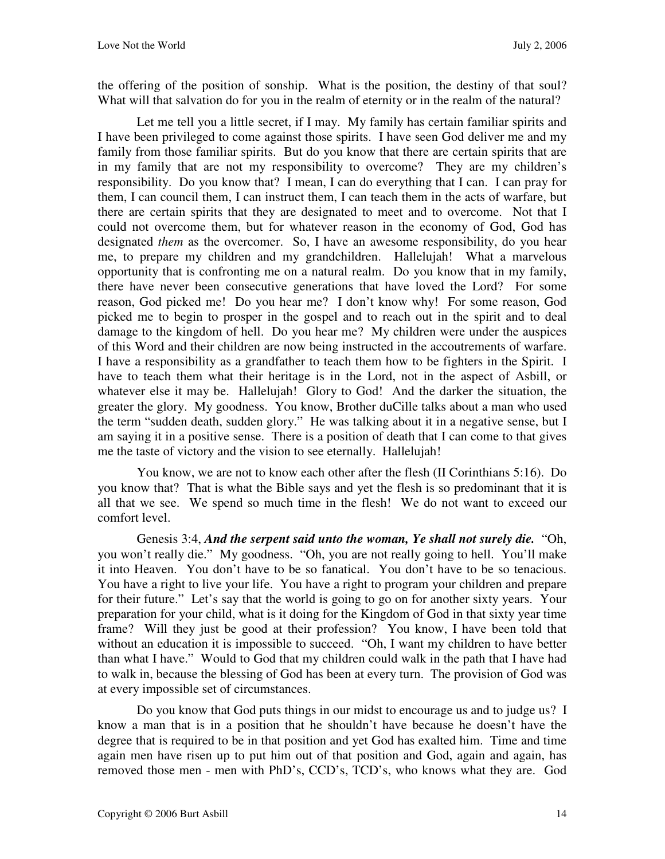the offering of the position of sonship. What is the position, the destiny of that soul? What will that salvation do for you in the realm of eternity or in the realm of the natural?

Let me tell you a little secret, if I may. My family has certain familiar spirits and I have been privileged to come against those spirits. I have seen God deliver me and my family from those familiar spirits. But do you know that there are certain spirits that are in my family that are not my responsibility to overcome? They are my children's responsibility. Do you know that? I mean, I can do everything that I can. I can pray for them, I can council them, I can instruct them, I can teach them in the acts of warfare, but there are certain spirits that they are designated to meet and to overcome. Not that I could not overcome them, but for whatever reason in the economy of God, God has designated *them* as the overcomer. So, I have an awesome responsibility, do you hear me, to prepare my children and my grandchildren. Hallelujah! What a marvelous opportunity that is confronting me on a natural realm. Do you know that in my family, there have never been consecutive generations that have loved the Lord? For some reason, God picked me! Do you hear me? I don't know why! For some reason, God picked me to begin to prosper in the gospel and to reach out in the spirit and to deal damage to the kingdom of hell. Do you hear me? My children were under the auspices of this Word and their children are now being instructed in the accoutrements of warfare. I have a responsibility as a grandfather to teach them how to be fighters in the Spirit. I have to teach them what their heritage is in the Lord, not in the aspect of Asbill, or whatever else it may be. Hallelujah! Glory to God! And the darker the situation, the greater the glory. My goodness. You know, Brother duCille talks about a man who used the term "sudden death, sudden glory." He was talking about it in a negative sense, but I am saying it in a positive sense. There is a position of death that I can come to that gives me the taste of victory and the vision to see eternally. Hallelujah!

You know, we are not to know each other after the flesh (II Corinthians 5:16). Do you know that? That is what the Bible says and yet the flesh is so predominant that it is all that we see. We spend so much time in the flesh! We do not want to exceed our comfort level.

Genesis 3:4, *And the serpent said unto the woman, Ye shall not surely die.* "Oh, you won't really die." My goodness. "Oh, you are not really going to hell. You'll make it into Heaven. You don't have to be so fanatical. You don't have to be so tenacious. You have a right to live your life. You have a right to program your children and prepare for their future." Let's say that the world is going to go on for another sixty years. Your preparation for your child, what is it doing for the Kingdom of God in that sixty year time frame? Will they just be good at their profession? You know, I have been told that without an education it is impossible to succeed. "Oh, I want my children to have better than what I have." Would to God that my children could walk in the path that I have had to walk in, because the blessing of God has been at every turn. The provision of God was at every impossible set of circumstances.

Do you know that God puts things in our midst to encourage us and to judge us? I know a man that is in a position that he shouldn't have because he doesn't have the degree that is required to be in that position and yet God has exalted him. Time and time again men have risen up to put him out of that position and God, again and again, has removed those men - men with PhD's, CCD's, TCD's, who knows what they are. God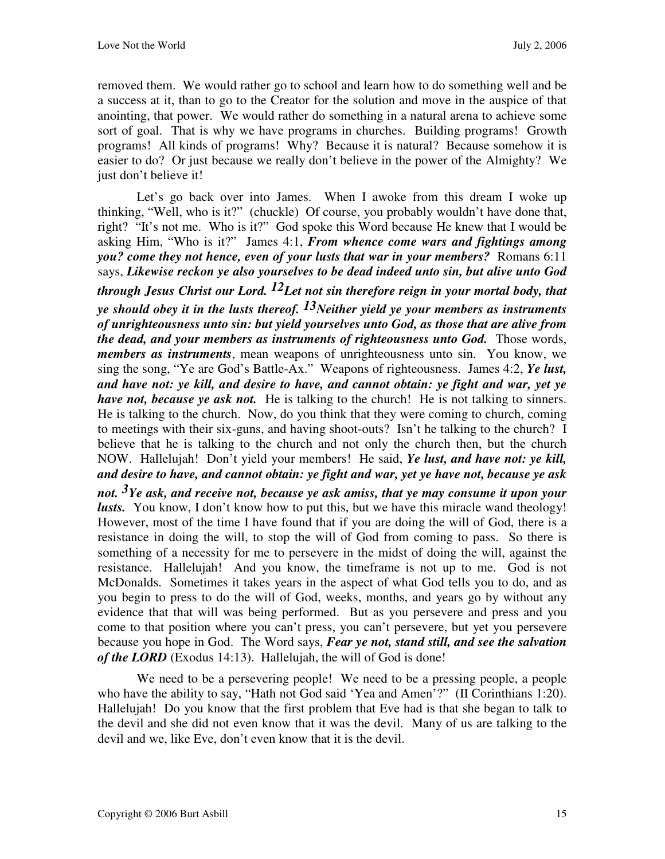removed them. We would rather go to school and learn how to do something well and be a success at it, than to go to the Creator for the solution and move in the auspice of that anointing, that power. We would rather do something in a natural arena to achieve some sort of goal. That is why we have programs in churches. Building programs! Growth programs! All kinds of programs! Why? Because it is natural? Because somehow it is easier to do? Or just because we really don't believe in the power of the Almighty? We just don't believe it!

Let's go back over into James. When I awoke from this dream I woke up thinking, "Well, who is it?" (chuckle) Of course, you probably wouldn't have done that, right? "It's not me. Who is it?" God spoke this Word because He knew that I would be asking Him, "Who is it?" James 4:1, *From whence come wars and fightings among you? come they not hence, even of your lusts that war in your members?* Romans 6:11 says, *Likewise reckon ye also yourselves to be dead indeed unto sin, but alive unto God through Jesus Christ our Lord. 12Let not sin therefore reign in your mortal body, that ye should obey it in the lusts thereof. 13Neither yield ye your members as instruments of unrighteousness unto sin: but yield yourselves unto God, as those that are alive from the dead, and your members as instruments of righteousness unto God.* Those words, *members as instruments*, mean weapons of unrighteousness unto sin. You know, we sing the song, "Ye are God's Battle-Ax." Weapons of righteousness. James 4:2, *Ye lust, and have not: ye kill, and desire to have, and cannot obtain: ye fight and war, yet ye have not, because ye ask not.* He is talking to the church! He is not talking to sinners. He is talking to the church. Now, do you think that they were coming to church, coming to meetings with their six-guns, and having shoot-outs? Isn't he talking to the church? I believe that he is talking to the church and not only the church then, but the church NOW. Hallelujah! Don't yield your members! He said, *Ye lust, and have not: ye kill, and desire to have, and cannot obtain: ye fight and war, yet ye have not, because ye ask not. 3Ye ask, and receive not, because ye ask amiss, that ye may consume it upon your lusts.* You know, I don't know how to put this, but we have this miracle wand theology! However, most of the time I have found that if you are doing the will of God, there is a resistance in doing the will, to stop the will of God from coming to pass. So there is something of a necessity for me to persevere in the midst of doing the will, against the resistance. Hallelujah! And you know, the timeframe is not up to me. God is not McDonalds. Sometimes it takes years in the aspect of what God tells you to do, and as you begin to press to do the will of God, weeks, months, and years go by without any evidence that that will was being performed. But as you persevere and press and you come to that position where you can't press, you can't persevere, but yet you persevere because you hope in God. The Word says, *Fear ye not, stand still, and see the salvation*  of the LORD (Exodus 14:13). Hallelujah, the will of God is done!

We need to be a persevering people! We need to be a pressing people, a people who have the ability to say, "Hath not God said 'Yea and Amen'?" (II Corinthians 1:20). Hallelujah! Do you know that the first problem that Eve had is that she began to talk to the devil and she did not even know that it was the devil. Many of us are talking to the devil and we, like Eve, don't even know that it is the devil.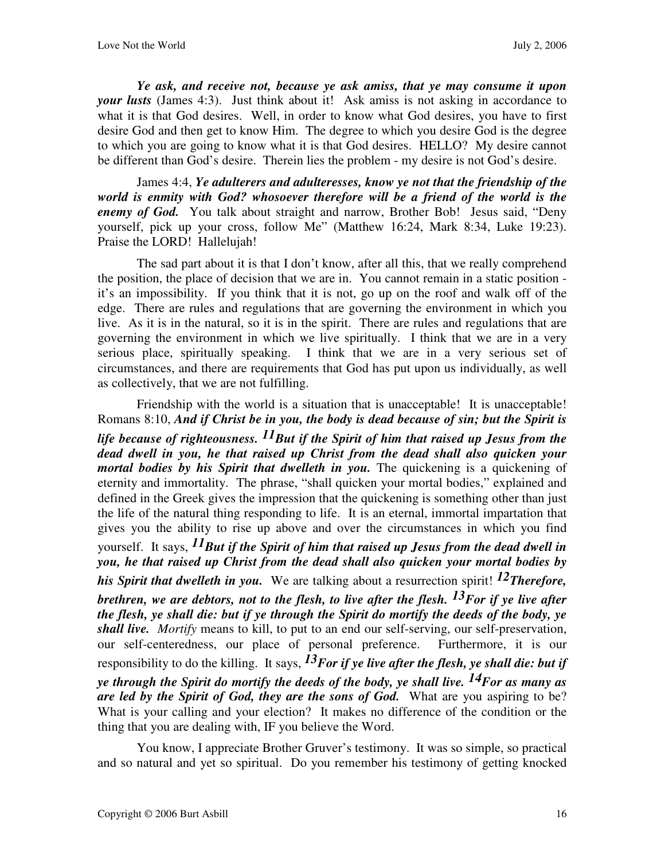*Ye ask, and receive not, because ye ask amiss, that ye may consume it upon your lusts* (James 4:3). Just think about it! Ask amiss is not asking in accordance to what it is that God desires. Well, in order to know what God desires, you have to first desire God and then get to know Him. The degree to which you desire God is the degree to which you are going to know what it is that God desires. HELLO? My desire cannot be different than God's desire. Therein lies the problem - my desire is not God's desire.

James 4:4, *Ye adulterers and adulteresses, know ye not that the friendship of the*  world is enmity with God? whosoever therefore will be a friend of the world is the *enemy of God.* You talk about straight and narrow, Brother Bob! Jesus said, "Deny yourself, pick up your cross, follow Me" (Matthew 16:24, Mark 8:34, Luke 19:23). Praise the LORD! Hallelujah!

The sad part about it is that I don't know, after all this, that we really comprehend the position, the place of decision that we are in. You cannot remain in a static position it's an impossibility. If you think that it is not, go up on the roof and walk off of the edge. There are rules and regulations that are governing the environment in which you live. As it is in the natural, so it is in the spirit. There are rules and regulations that are governing the environment in which we live spiritually. I think that we are in a very serious place, spiritually speaking. I think that we are in a very serious set of circumstances, and there are requirements that God has put upon us individually, as well as collectively, that we are not fulfilling.

Friendship with the world is a situation that is unacceptable! It is unacceptable! Romans 8:10, *And if Christ be in you, the body is dead because of sin; but the Spirit is life because of righteousness. 11But if the Spirit of him that raised up Jesus from the dead dwell in you, he that raised up Christ from the dead shall also quicken your mortal bodies by his Spirit that dwelleth in you.* The quickening is a quickening of eternity and immortality. The phrase, "shall quicken your mortal bodies," explained and defined in the Greek gives the impression that the quickening is something other than just the life of the natural thing responding to life. It is an eternal, immortal impartation that gives you the ability to rise up above and over the circumstances in which you find yourself. It says, *11But if the Spirit of him that raised up Jesus from the dead dwell in you, he that raised up Christ from the dead shall also quicken your mortal bodies by his Spirit that dwelleth in you.* We are talking about a resurrection spirit! *12Therefore, brethren, we are debtors, not to the flesh, to live after the flesh. 13For if ye live after the flesh, ye shall die: but if ye through the Spirit do mortify the deeds of the body, ye shall live. Mortify* means to kill, to put to an end our self-serving, our self-preservation, our self-centeredness, our place of personal preference. Furthermore, it is our responsibility to do the killing. It says,  $^{13}$ For if ye live after the flesh, ye shall die: but if *ye through the Spirit do mortify the deeds of the body, ye shall live. 14For as many as are led by the Spirit of God, they are the sons of God.* What are you aspiring to be? What is your calling and your election? It makes no difference of the condition or the thing that you are dealing with, IF you believe the Word.

You know, I appreciate Brother Gruver's testimony. It was so simple, so practical and so natural and yet so spiritual. Do you remember his testimony of getting knocked